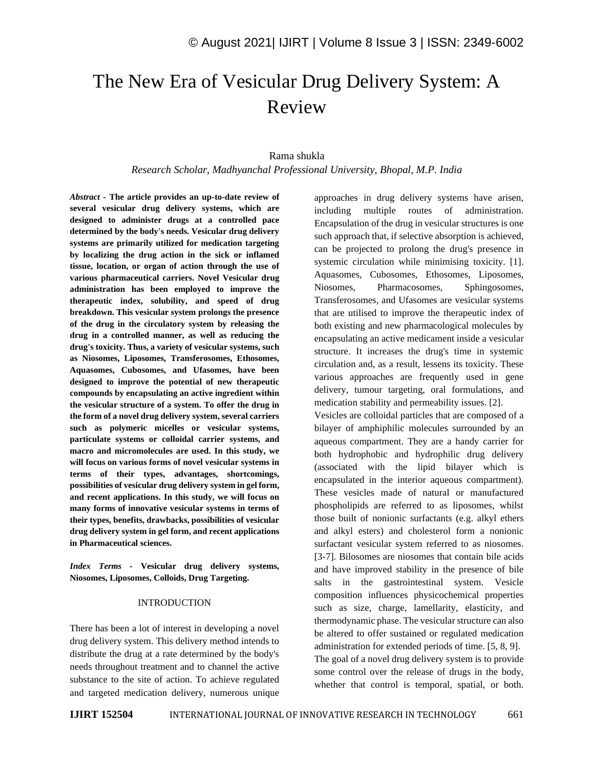# The New Era of Vesicular Drug Delivery System: A Review

## Rama shukla

*Research Scholar, Madhyanchal Professional University, Bhopal, M.P. India*

*Abstract -* **The article provides an up-to-date review of several vesicular drug delivery systems, which are designed to administer drugs at a controlled pace determined by the body's needs. Vesicular drug delivery systems are primarily utilized for medication targeting by localizing the drug action in the sick or inflamed tissue, location, or organ of action through the use of various pharmaceutical carriers. Novel Vesicular drug administration has been employed to improve the therapeutic index, solubility, and speed of drug breakdown. This vesicular system prolongs the presence of the drug in the circulatory system by releasing the drug in a controlled manner, as well as reducing the drug's toxicity. Thus, a variety of vesicular systems, such as Niosomes, Liposomes, Transferosomes, Ethosomes, Aquasomes, Cubosomes, and Ufasomes, have been designed to improve the potential of new therapeutic compounds by encapsulating an active ingredient within the vesicular structure of a system. To offer the drug in the form of a novel drug delivery system, several carriers such as polymeric micelles or vesicular systems, particulate systems or colloidal carrier systems, and macro and micromolecules are used. In this study, we will focus on various forms of novel vesicular systems in terms of their types, advantages, shortcomings, possibilities of vesicular drug delivery system in gel form, and recent applications. In this study, we will focus on many forms of innovative vesicular systems in terms of their types, benefits, drawbacks, possibilities of vesicular drug delivery system in gel form, and recent applications in Pharmaceutical sciences.**

*Index Terms -* **Vesicular drug delivery systems, Niosomes, Liposomes, Colloids, Drug Targeting.**

#### INTRODUCTION

There has been a lot of interest in developing a novel drug delivery system. This delivery method intends to distribute the drug at a rate determined by the body's needs throughout treatment and to channel the active substance to the site of action. To achieve regulated and targeted medication delivery, numerous unique approaches in drug delivery systems have arisen, including multiple routes of administration. Encapsulation of the drug in vesicular structures is one such approach that, if selective absorption is achieved, can be projected to prolong the drug's presence in systemic circulation while minimising toxicity. [1]. Aquasomes, Cubosomes, Ethosomes, Liposomes, Niosomes, Pharmacosomes, Sphingosomes, Transferosomes, and Ufasomes are vesicular systems that are utilised to improve the therapeutic index of both existing and new pharmacological molecules by encapsulating an active medicament inside a vesicular structure. It increases the drug's time in systemic circulation and, as a result, lessens its toxicity. These various approaches are frequently used in gene delivery, tumour targeting, oral formulations, and medication stability and permeability issues. [2].

Vesicles are colloidal particles that are composed of a bilayer of amphiphilic molecules surrounded by an aqueous compartment. They are a handy carrier for both hydrophobic and hydrophilic drug delivery (associated with the lipid bilayer which is encapsulated in the interior aqueous compartment). These vesicles made of natural or manufactured phospholipids are referred to as liposomes, whilst those built of nonionic surfactants (e.g. alkyl ethers and alkyl esters) and cholesterol form a nonionic surfactant vesicular system referred to as niosomes. [3-7]. Bilosomes are niosomes that contain bile acids and have improved stability in the presence of bile salts in the gastrointestinal system. Vesicle composition influences physicochemical properties such as size, charge, lamellarity, elasticity, and thermodynamic phase. The vesicular structure can also be altered to offer sustained or regulated medication administration for extended periods of time. [5, 8, 9]. The goal of a novel drug delivery system is to provide some control over the release of drugs in the body, whether that control is temporal, spatial, or both.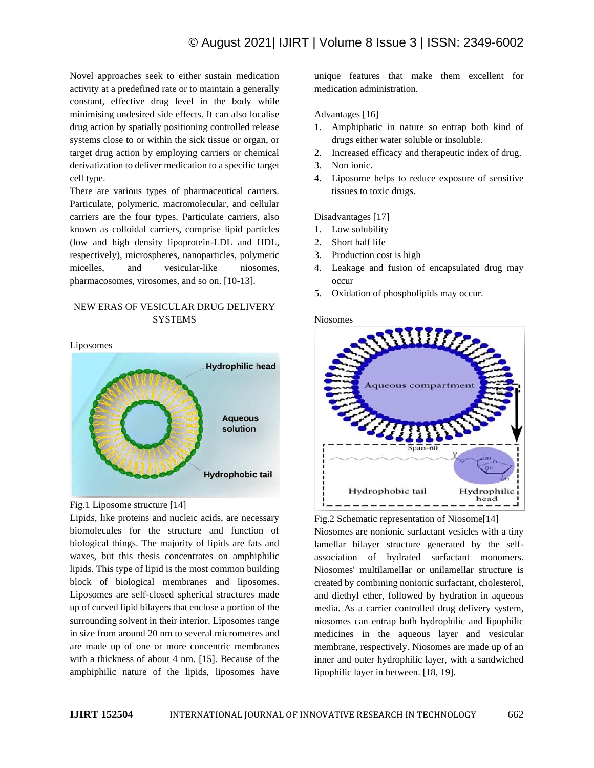# © August 2021| IJIRT | Volume 8 Issue 3 | ISSN: 2349-6002

Novel approaches seek to either sustain medication activity at a predefined rate or to maintain a generally constant, effective drug level in the body while minimising undesired side effects. It can also localise drug action by spatially positioning controlled release systems close to or within the sick tissue or organ, or target drug action by employing carriers or chemical derivatization to deliver medication to a specific target cell type.

There are various types of pharmaceutical carriers. Particulate, polymeric, macromolecular, and cellular carriers are the four types. Particulate carriers, also known as colloidal carriers, comprise lipid particles (low and high density lipoprotein-LDL and HDL, respectively), microspheres, nanoparticles, polymeric micelles, and vesicular-like niosomes, pharmacosomes, virosomes, and so on. [10-13].

# NEW ERAS OF VESICULAR DRUG DELIVERY SYSTEMS

Liposomes



#### Fig.1 Liposome structure [14]

Lipids, like proteins and nucleic acids, are necessary biomolecules for the structure and function of biological things. The majority of lipids are fats and waxes, but this thesis concentrates on amphiphilic lipids. This type of lipid is the most common building block of biological membranes and liposomes. Liposomes are self-closed spherical structures made up of curved lipid bilayers that enclose a portion of the surrounding solvent in their interior. Liposomes range in size from around 20 nm to several micrometres and are made up of one or more concentric membranes with a thickness of about 4 nm. [15]. Because of the amphiphilic nature of the lipids, liposomes have unique features that make them excellent for medication administration.

#### Advantages [16]

- 1. Amphiphatic in nature so entrap both kind of drugs either water soluble or insoluble.
- 2. Increased efficacy and therapeutic index of drug.
- 3. Non ionic.
- 4. Liposome helps to reduce exposure of sensitive tissues to toxic drugs.

#### Disadvantages [17]

- 1. Low solubility
- 2. Short half life
- 3. Production cost is high
- 4. Leakage and fusion of encapsulated drug may occur
- 5. Oxidation of phospholipids may occur.

Niosomes



Fig.2 Schematic representation of Niosome[14] Niosomes are nonionic surfactant vesicles with a tiny lamellar bilayer structure generated by the selfassociation of hydrated surfactant monomers. Niosomes' multilamellar or unilamellar structure is created by combining nonionic surfactant, cholesterol, and diethyl ether, followed by hydration in aqueous media. As a carrier controlled drug delivery system, niosomes can entrap both hydrophilic and lipophilic medicines in the aqueous layer and vesicular membrane, respectively. Niosomes are made up of an inner and outer hydrophilic layer, with a sandwiched lipophilic layer in between. [18, 19].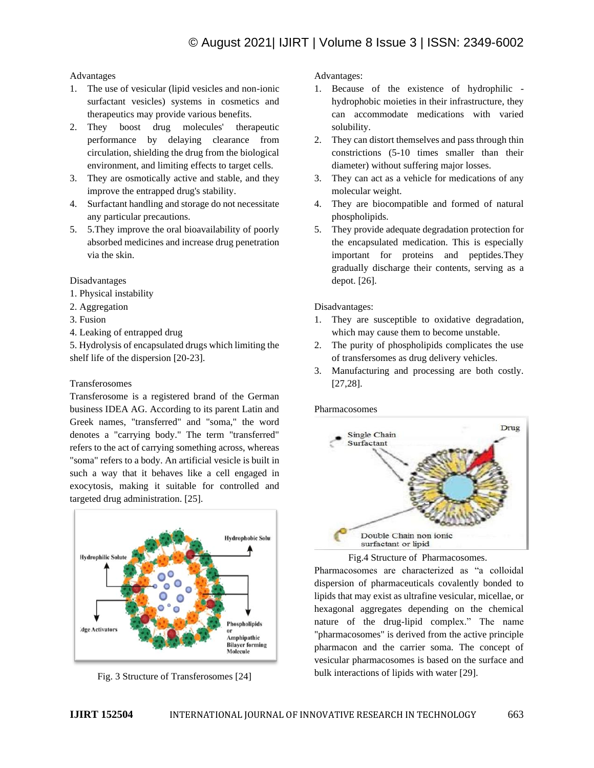## Advantages

- 1. The use of vesicular (lipid vesicles and non-ionic surfactant vesicles) systems in cosmetics and therapeutics may provide various benefits.
- 2. They boost drug molecules' therapeutic performance by delaying clearance from circulation, shielding the drug from the biological environment, and limiting effects to target cells.
- 3. They are osmotically active and stable, and they improve the entrapped drug's stability.
- 4. Surfactant handling and storage do not necessitate any particular precautions.
- 5. 5.They improve the oral bioavailability of poorly absorbed medicines and increase drug penetration via the skin.

#### Disadvantages

- 1. Physical instability
- 2. Aggregation
- 3. Fusion
- 4. Leaking of entrapped drug

5. Hydrolysis of encapsulated drugs which limiting the shelf life of the dispersion [20-23].

## Transferosomes

Transferosome is a registered brand of the German business IDEA AG. According to its parent Latin and Greek names, "transferred" and "soma," the word denotes a "carrying body." The term "transferred" refers to the act of carrying something across, whereas "soma" refers to a body. An artificial vesicle is built in such a way that it behaves like a cell engaged in exocytosis, making it suitable for controlled and targeted drug administration. [25].



Fig. 3 Structure of Transferosomes [24]

Advantages:

- 1. Because of the existence of hydrophilic hydrophobic moieties in their infrastructure, they can accommodate medications with varied solubility.
- 2. They can distort themselves and pass through thin constrictions (5-10 times smaller than their diameter) without suffering major losses.
- 3. They can act as a vehicle for medications of any molecular weight.
- 4. They are biocompatible and formed of natural phospholipids.
- 5. They provide adequate degradation protection for the encapsulated medication. This is especially important for proteins and peptides.They gradually discharge their contents, serving as a depot. [26].

Disadvantages:

- 1. They are susceptible to oxidative degradation, which may cause them to become unstable.
- 2. The purity of phospholipids complicates the use of transfersomes as drug delivery vehicles.
- 3. Manufacturing and processing are both costly. [27,28].

#### Pharmacosomes





Pharmacosomes are characterized as "a colloidal dispersion of pharmaceuticals covalently bonded to lipids that may exist as ultrafine vesicular, micellae, or hexagonal aggregates depending on the chemical nature of the drug-lipid complex." The name "pharmacosomes" is derived from the active principle pharmacon and the carrier soma. The concept of vesicular pharmacosomes is based on the surface and bulk interactions of lipids with water [29].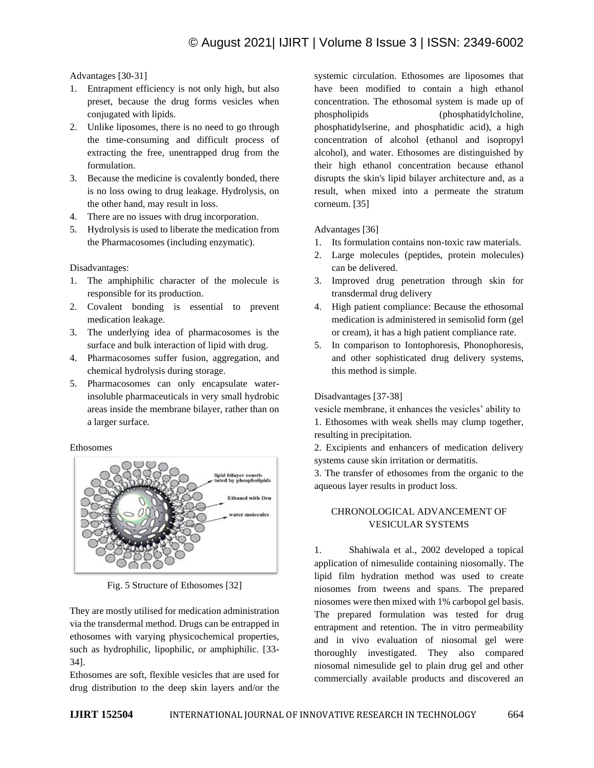Advantages [30-31]

- 1. Entrapment efficiency is not only high, but also preset, because the drug forms vesicles when conjugated with lipids.
- 2. Unlike liposomes, there is no need to go through the time-consuming and difficult process of extracting the free, unentrapped drug from the formulation.
- 3. Because the medicine is covalently bonded, there is no loss owing to drug leakage. Hydrolysis, on the other hand, may result in loss.
- 4. There are no issues with drug incorporation.
- 5. Hydrolysis is used to liberate the medication from the Pharmacosomes (including enzymatic).

Disadvantages:

- 1. The amphiphilic character of the molecule is responsible for its production.
- 2. Covalent bonding is essential to prevent medication leakage.
- 3. The underlying idea of pharmacosomes is the surface and bulk interaction of lipid with drug.
- 4. Pharmacosomes suffer fusion, aggregation, and chemical hydrolysis during storage.
- 5. Pharmacosomes can only encapsulate waterinsoluble pharmaceuticals in very small hydrobic areas inside the membrane bilayer, rather than on a larger surface.

Ethosomes



Fig. 5 Structure of Ethosomes [32]

They are mostly utilised for medication administration via the transdermal method. Drugs can be entrapped in ethosomes with varying physicochemical properties, such as hydrophilic, lipophilic, or amphiphilic. [33- 34].

Ethosomes are soft, flexible vesicles that are used for drug distribution to the deep skin layers and/or the systemic circulation. Ethosomes are liposomes that have been modified to contain a high ethanol concentration. The ethosomal system is made up of phospholipids (phosphatidylcholine, phosphatidylserine, and phosphatidic acid), a high concentration of alcohol (ethanol and isopropyl alcohol), and water. Ethosomes are distinguished by their high ethanol concentration because ethanol disrupts the skin's lipid bilayer architecture and, as a result, when mixed into a permeate the stratum corneum. [35]

Advantages [36]

- 1. Its formulation contains non-toxic raw materials.
- 2. Large molecules (peptides, protein molecules) can be delivered.
- 3. Improved drug penetration through skin for transdermal drug delivery
- 4. High patient compliance: Because the ethosomal medication is administered in semisolid form (gel or cream), it has a high patient compliance rate.
- 5. In comparison to Iontophoresis, Phonophoresis, and other sophisticated drug delivery systems, this method is simple.

# Disadvantages [37-38]

vesicle membrane, it enhances the vesicles' ability to 1. Ethosomes with weak shells may clump together, resulting in precipitation.

2. Excipients and enhancers of medication delivery systems cause skin irritation or dermatitis.

3. The transfer of ethosomes from the organic to the aqueous layer results in product loss.

# CHRONOLOGICAL ADVANCEMENT OF VESICULAR SYSTEMS

1. Shahiwala et al., 2002 developed a topical application of nimesulide containing niosomally. The lipid film hydration method was used to create niosomes from tweens and spans. The prepared niosomes were then mixed with 1% carbopol gel basis. The prepared formulation was tested for drug entrapment and retention. The in vitro permeability and in vivo evaluation of niosomal gel were thoroughly investigated. They also compared niosomal nimesulide gel to plain drug gel and other commercially available products and discovered an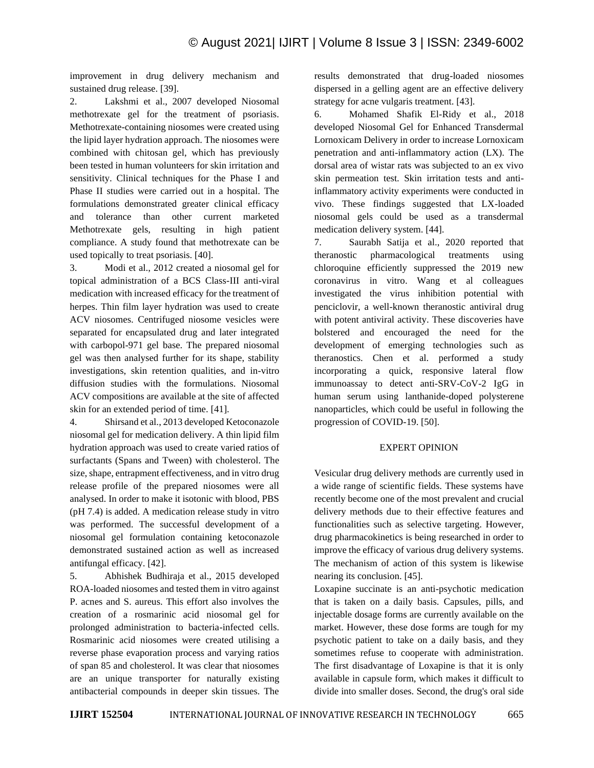improvement in drug delivery mechanism and sustained drug release. [39].

2. Lakshmi et al., 2007 developed Niosomal methotrexate gel for the treatment of psoriasis. Methotrexate-containing niosomes were created using the lipid layer hydration approach. The niosomes were combined with chitosan gel, which has previously been tested in human volunteers for skin irritation and sensitivity. Clinical techniques for the Phase I and Phase II studies were carried out in a hospital. The formulations demonstrated greater clinical efficacy and tolerance than other current marketed Methotrexate gels, resulting in high patient compliance. A study found that methotrexate can be used topically to treat psoriasis. [40].

3. Modi et al., 2012 created a niosomal gel for topical administration of a BCS Class-III anti-viral medication with increased efficacy for the treatment of herpes. Thin film layer hydration was used to create ACV niosomes. Centrifuged niosome vesicles were separated for encapsulated drug and later integrated with carbopol-971 gel base. The prepared niosomal gel was then analysed further for its shape, stability investigations, skin retention qualities, and in-vitro diffusion studies with the formulations. Niosomal ACV compositions are available at the site of affected skin for an extended period of time. [41].

4. Shirsand et al., 2013 developed Ketoconazole niosomal gel for medication delivery. A thin lipid film hydration approach was used to create varied ratios of surfactants (Spans and Tween) with cholesterol. The size, shape, entrapment effectiveness, and in vitro drug release profile of the prepared niosomes were all analysed. In order to make it isotonic with blood, PBS (pH 7.4) is added. A medication release study in vitro was performed. The successful development of a niosomal gel formulation containing ketoconazole demonstrated sustained action as well as increased antifungal efficacy. [42].

5. Abhishek Budhiraja et al., 2015 developed ROA-loaded niosomes and tested them in vitro against P. acnes and S. aureus. This effort also involves the creation of a rosmarinic acid niosomal gel for prolonged administration to bacteria-infected cells. Rosmarinic acid niosomes were created utilising a reverse phase evaporation process and varying ratios of span 85 and cholesterol. It was clear that niosomes are an unique transporter for naturally existing antibacterial compounds in deeper skin tissues. The results demonstrated that drug-loaded niosomes dispersed in a gelling agent are an effective delivery strategy for acne vulgaris treatment. [43].

6. Mohamed Shafik El-Ridy et al., 2018 developed Niosomal Gel for Enhanced Transdermal Lornoxicam Delivery in order to increase Lornoxicam penetration and anti-inflammatory action (LX). The dorsal area of wistar rats was subjected to an ex vivo skin permeation test. Skin irritation tests and antiinflammatory activity experiments were conducted in vivo. These findings suggested that LX-loaded niosomal gels could be used as a transdermal medication delivery system. [44].

7. Saurabh Satija et al., 2020 reported that theranostic pharmacological treatments using chloroquine efficiently suppressed the 2019 new coronavirus in vitro. Wang et al colleagues investigated the virus inhibition potential with penciclovir, a well-known theranostic antiviral drug with potent antiviral activity. These discoveries have bolstered and encouraged the need for the development of emerging technologies such as theranostics. Chen et al. performed a study incorporating a quick, responsive lateral flow immunoassay to detect anti-SRV-CoV-2 IgG in human serum using lanthanide-doped polysterene nanoparticles, which could be useful in following the progression of COVID-19. [50].

#### EXPERT OPINION

Vesicular drug delivery methods are currently used in a wide range of scientific fields. These systems have recently become one of the most prevalent and crucial delivery methods due to their effective features and functionalities such as selective targeting. However, drug pharmacokinetics is being researched in order to improve the efficacy of various drug delivery systems. The mechanism of action of this system is likewise nearing its conclusion. [45].

Loxapine succinate is an anti-psychotic medication that is taken on a daily basis. Capsules, pills, and injectable dosage forms are currently available on the market. However, these dose forms are tough for my psychotic patient to take on a daily basis, and they sometimes refuse to cooperate with administration. The first disadvantage of Loxapine is that it is only available in capsule form, which makes it difficult to divide into smaller doses. Second, the drug's oral side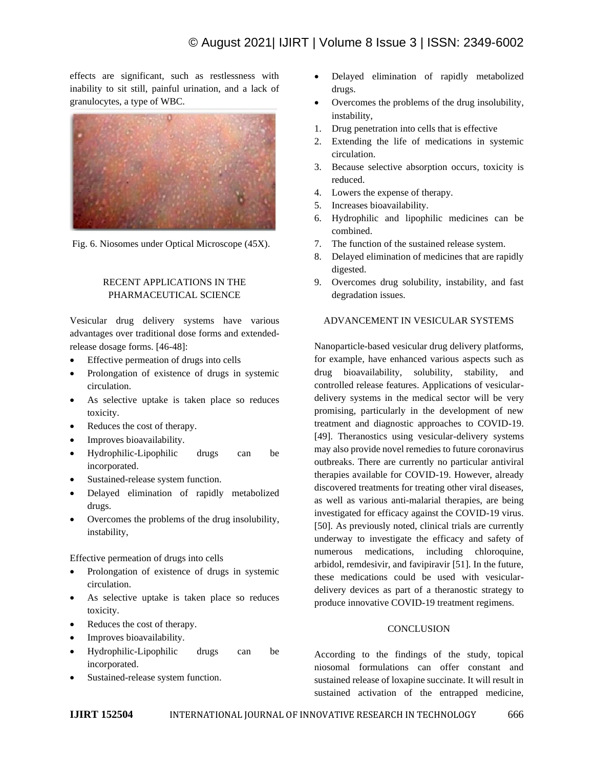effects are significant, such as restlessness with inability to sit still, painful urination, and a lack of granulocytes, a type of WBC.



Fig. 6. Niosomes under Optical Microscope (45X).

# RECENT APPLICATIONS IN THE PHARMACEUTICAL SCIENCE

Vesicular drug delivery systems have various advantages over traditional dose forms and extendedrelease dosage forms. [46-48]:

- Effective permeation of drugs into cells
- Prolongation of existence of drugs in systemic circulation.
- As selective uptake is taken place so reduces toxicity.
- Reduces the cost of therapy.
- Improves bioavailability.
- Hydrophilic-Lipophilic drugs can be incorporated.
- Sustained-release system function.
- Delayed elimination of rapidly metabolized drugs.
- Overcomes the problems of the drug insolubility, instability,

Effective permeation of drugs into cells

- Prolongation of existence of drugs in systemic circulation.
- As selective uptake is taken place so reduces toxicity.
- Reduces the cost of therapy.
- Improves bioavailability.
- Hydrophilic-Lipophilic drugs can be incorporated.
- Sustained-release system function.
- Delayed elimination of rapidly metabolized drugs.
- Overcomes the problems of the drug insolubility, instability,
- 1. Drug penetration into cells that is effective
- 2. Extending the life of medications in systemic circulation.
- 3. Because selective absorption occurs, toxicity is reduced.
- 4. Lowers the expense of therapy.
- 5. Increases bioavailability.
- 6. Hydrophilic and lipophilic medicines can be combined.
- 7. The function of the sustained release system.
- 8. Delayed elimination of medicines that are rapidly digested.
- 9. Overcomes drug solubility, instability, and fast degradation issues.

# ADVANCEMENT IN VESICULAR SYSTEMS

Nanoparticle-based vesicular drug delivery platforms, for example, have enhanced various aspects such as drug bioavailability, solubility, stability, and controlled release features. Applications of vesiculardelivery systems in the medical sector will be very promising, particularly in the development of new treatment and diagnostic approaches to COVID-19. [49]. Theranostics using vesicular-delivery systems may also provide novel remedies to future coronavirus outbreaks. There are currently no particular antiviral therapies available for COVID-19. However, already discovered treatments for treating other viral diseases, as well as various anti-malarial therapies, are being investigated for efficacy against the COVID-19 virus. [50]. As previously noted, clinical trials are currently underway to investigate the efficacy and safety of numerous medications, including chloroquine, arbidol, remdesivir, and favipiravir [51]. In the future, these medications could be used with vesiculardelivery devices as part of a theranostic strategy to produce innovative COVID-19 treatment regimens.

#### **CONCLUSION**

According to the findings of the study, topical niosomal formulations can offer constant and sustained release of loxapine succinate. It will result in sustained activation of the entrapped medicine,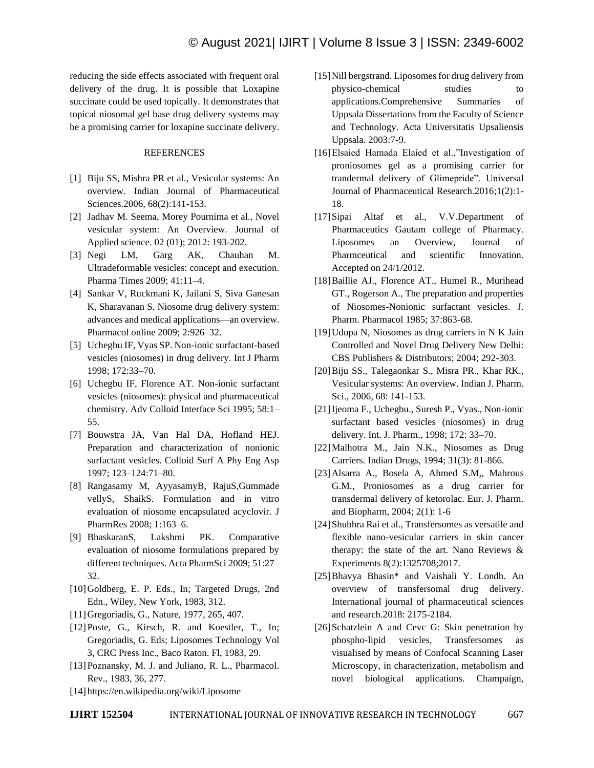reducing the side effects associated with frequent oral delivery of the drug. It is possible that Loxapine succinate could be used topically. It demonstrates that topical niosomal gel base drug delivery systems may be a promising carrier for loxapine succinate delivery.

#### **REFERENCES**

- [1] Biju SS, Mishra PR et al., Vesicular systems: An overview. Indian Journal of Pharmaceutical Sciences.2006, 68(2):141-153.
- [2] Jadhav M. Seema, Morey Pournima et al., Novel vesicular system: An Overview. Journal of Applied science. 02 (01); 2012: 193-202.
- [3] Negi LM, Garg AK, Chauhan M. Ultradeformable vesicles: concept and execution. Pharma Times 2009; 41:11–4.
- [4] Sankar V, Ruckmani K, Jailani S, Siva Ganesan K, Sharavanan S. Niosome drug delivery system: advances and medical applications—an overview. Pharmacol online 2009; 2:926–32.
- [5] Uchegbu IF, Vyas SP. Non-ionic surfactant-based vesicles (niosomes) in drug delivery. Int J Pharm 1998; 172:33–70.
- [6] Uchegbu IF, Florence AT. Non-ionic surfactant vesicles (niosomes): physical and pharmaceutical chemistry. Adv Colloid Interface Sci 1995; 58:1– 55.
- [7] Bouwstra JA, Van Hal DA, Hofland HEJ. Preparation and characterization of nonionic surfactant vesicles. Colloid Surf A Phy Eng Asp 1997; 123–124:71–80.
- [8] Rangasamy M, AyyasamyB, RajuS,Gummade vellyS, ShaikS. Formulation and in vitro evaluation of niosome encapsulated acyclovir. J PharmRes 2008; 1:163–6.
- [9] BhaskaranS, Lakshmi PK. Comparative evaluation of niosome formulations prepared by different techniques. Acta PharmSci 2009; 51:27– 32.
- [10]Goldberg, E. P. Eds., In; Targeted Drugs, 2nd Edn., Wiley, New York, 1983, 312.
- [11]Gregoriadis, G., Nature, 1977, 265, 407.
- [12]Poste, G., Kirsch, R. and Koestler, T., In; Gregoriadis, G. Eds; Liposomes Technology Vol 3, CRC Press Inc., Baco Raton. Fl, 1983, 29.
- [13] Poznansky, M. J. and Juliano, R. L., Pharmacol. Rev., 1983, 36, 277.
- [14] https://en.wikipedia.org/wiki/Liposome
- [15] Nill bergstrand. Liposomes for drug delivery from physico-chemical studies to applications.Comprehensive Summaries of Uppsala Dissertations from the Faculty of Science and Technology. Acta Universitatis Upsaliensis Uppsala. 2003:7-9.
- [16] Elsaied Hamada Elaied et al.,"Investigation of proniosomes gel as a promising carrier for trandermal delivery of Glimepride". Universal Journal of Pharmaceutical Research.2016;1(2):1- 18.
- [17]Sipai Altaf et al., V.V.Department of Pharmaceutics Gautam college of Pharmacy. Liposomes an Overview, Journal of Pharmceutical and scientific Innovation. Accepted on 24/1/2012.
- [18]Baillie AJ., Florence AT., HumeI R., Murihead GT., Rogerson A., The preparation and properties of Niosomes-Nonionic surfactant vesicles. J. Pharm. Pharmacol 1985; 37:863-68.
- [19]Udupa N, Niosomes as drug carriers in N K Jain Controlled and Novel Drug Delivery New Delhi: CBS Publishers & Distributors; 2004; 292-303.
- [20]Biju SS., Talegaonkar S., Misra PR., Khar RK., Vesicular systems: An overview. Indian J. Pharm. Sci., 2006, 68: 141-153.
- [21]Ijeoma F., Uchegbu., Suresh P., Vyas., Non-ionic surfactant based vesicles (niosomes) in drug delivery. Int. J. Pharm., 1998; 172: 33–70.
- [22]Malhotra M., Jain N.K., Niosomes as Drug Carriers. Indian Drugs, 1994; 31(3): 81-866.
- [23]Alsarra A., Bosela A, Ahmed S.M,, Mahrous G.M., Proniosomes as a drug carrier for transdermal delivery of ketorolac. Eur. J. Pharm. and Biopharm, 2004; 2(1): 1-6
- [24] Shubhra Rai et al., Transfersomes as versatile and flexible nano-vesicular carriers in skin cancer therapy: the state of the art. Nano Reviews  $\&$ Experiments 8(2):1325708;2017.
- [25]Bhavya Bhasin\* and Vaishali Y. Londh. An overview of transfersomal drug delivery. International journal of pharmaceutical sciences and research.2018: 2175-2184.
- [26] Schatzlein A and Cevc G: Skin penetration by phospho-lipid vesicles, Transfersomes as visualised by means of Confocal Scanning Laser Microscopy, in characterization, metabolism and novel biological applications. Champaign,